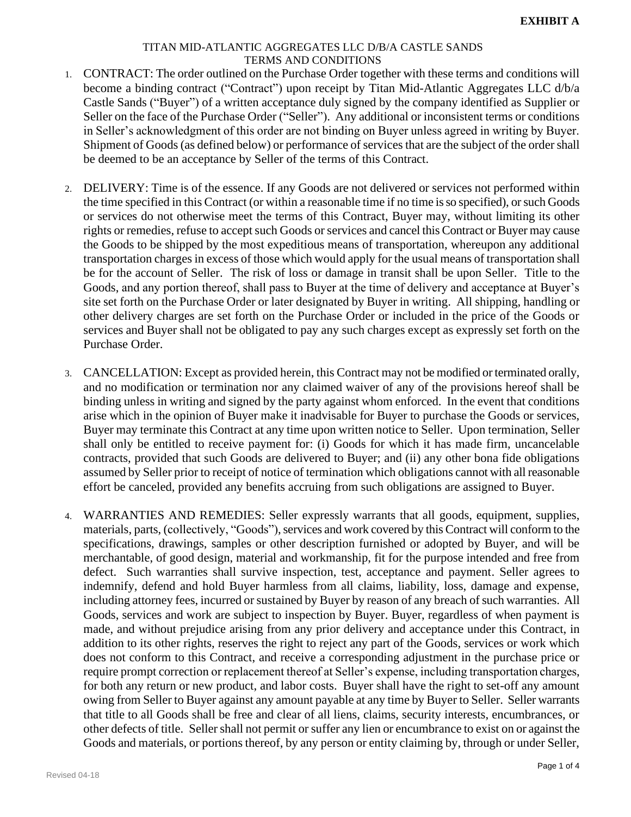- 1. CONTRACT: The order outlined on the Purchase Order together with these terms and conditions will become a binding contract ("Contract") upon receipt by Titan Mid-Atlantic Aggregates LLC d/b/a Castle Sands ("Buyer") of a written acceptance duly signed by the company identified as Supplier or Seller on the face of the Purchase Order ("Seller"). Any additional or inconsistent terms or conditions in Seller's acknowledgment of this order are not binding on Buyer unless agreed in writing by Buyer. Shipment of Goods(as defined below) or performance of services that are the subject of the order shall be deemed to be an acceptance by Seller of the terms of this Contract.
- 2. DELIVERY: Time is of the essence. If any Goods are not delivered or services not performed within the time specified in this Contract (or within a reasonable time if no time is so specified), or such Goods or services do not otherwise meet the terms of this Contract, Buyer may, without limiting its other rights or remedies, refuse to accept such Goods or services and cancel this Contract or Buyer may cause the Goods to be shipped by the most expeditious means of transportation, whereupon any additional transportation charges in excess of those which would apply for the usual means of transportation shall be for the account of Seller. The risk of loss or damage in transit shall be upon Seller. Title to the Goods, and any portion thereof, shall pass to Buyer at the time of delivery and acceptance at Buyer's site set forth on the Purchase Order or later designated by Buyer in writing. All shipping, handling or other delivery charges are set forth on the Purchase Order or included in the price of the Goods or services and Buyer shall not be obligated to pay any such charges except as expressly set forth on the Purchase Order.
- 3. CANCELLATION: Except as provided herein, this Contract may not be modified or terminated orally, and no modification or termination nor any claimed waiver of any of the provisions hereof shall be binding unless in writing and signed by the party against whom enforced. In the event that conditions arise which in the opinion of Buyer make it inadvisable for Buyer to purchase the Goods or services, Buyer may terminate this Contract at any time upon written notice to Seller. Upon termination, Seller shall only be entitled to receive payment for: (i) Goods for which it has made firm, uncancelable contracts, provided that such Goods are delivered to Buyer; and (ii) any other bona fide obligations assumed by Seller prior to receipt of notice of termination which obligations cannot with all reasonable effort be canceled, provided any benefits accruing from such obligations are assigned to Buyer.
- 4. WARRANTIES AND REMEDIES: Seller expressly warrants that all goods, equipment, supplies, materials, parts, (collectively, "Goods"), services and work covered by this Contract will conform to the specifications, drawings, samples or other description furnished or adopted by Buyer, and will be merchantable, of good design, material and workmanship, fit for the purpose intended and free from defect. Such warranties shall survive inspection, test, acceptance and payment. Seller agrees to indemnify, defend and hold Buyer harmless from all claims, liability, loss, damage and expense, including attorney fees, incurred or sustained by Buyer by reason of any breach of such warranties. All Goods, services and work are subject to inspection by Buyer. Buyer, regardless of when payment is made, and without prejudice arising from any prior delivery and acceptance under this Contract, in addition to its other rights, reserves the right to reject any part of the Goods, services or work which does not conform to this Contract, and receive a corresponding adjustment in the purchase price or require prompt correction or replacement thereof at Seller's expense, including transportation charges, for both any return or new product, and labor costs. Buyer shall have the right to set-off any amount owing from Seller to Buyer against any amount payable at any time by Buyer to Seller. Seller warrants that title to all Goods shall be free and clear of all liens, claims, security interests, encumbrances, or other defects of title. Seller shall not permit or suffer any lien or encumbrance to exist on or against the Goods and materials, or portions thereof, by any person or entity claiming by, through or under Seller,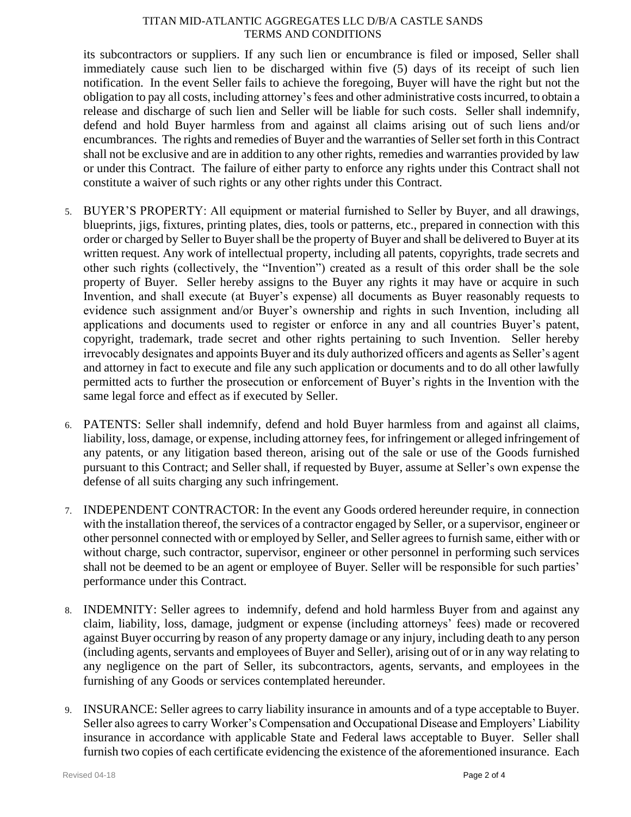its subcontractors or suppliers. If any such lien or encumbrance is filed or imposed, Seller shall immediately cause such lien to be discharged within five (5) days of its receipt of such lien notification. In the event Seller fails to achieve the foregoing, Buyer will have the right but not the obligation to pay all costs, including attorney's fees and other administrative costs incurred, to obtain a release and discharge of such lien and Seller will be liable for such costs. Seller shall indemnify, defend and hold Buyer harmless from and against all claims arising out of such liens and/or encumbrances. The rights and remedies of Buyer and the warranties of Seller set forth in this Contract shall not be exclusive and are in addition to any other rights, remedies and warranties provided by law or under this Contract. The failure of either party to enforce any rights under this Contract shall not constitute a waiver of such rights or any other rights under this Contract.

- 5. BUYER'S PROPERTY: All equipment or material furnished to Seller by Buyer, and all drawings, blueprints, jigs, fixtures, printing plates, dies, tools or patterns, etc., prepared in connection with this order or charged by Seller to Buyer shall be the property of Buyer and shall be delivered to Buyer at its written request. Any work of intellectual property, including all patents, copyrights, trade secrets and other such rights (collectively, the "Invention") created as a result of this order shall be the sole property of Buyer. Seller hereby assigns to the Buyer any rights it may have or acquire in such Invention, and shall execute (at Buyer's expense) all documents as Buyer reasonably requests to evidence such assignment and/or Buyer's ownership and rights in such Invention, including all applications and documents used to register or enforce in any and all countries Buyer's patent, copyright, trademark, trade secret and other rights pertaining to such Invention. Seller hereby irrevocably designates and appoints Buyer and its duly authorized officers and agents as Seller's agent and attorney in fact to execute and file any such application or documents and to do all other lawfully permitted acts to further the prosecution or enforcement of Buyer's rights in the Invention with the same legal force and effect as if executed by Seller.
- 6. PATENTS: Seller shall indemnify, defend and hold Buyer harmless from and against all claims, liability, loss, damage, or expense, including attorney fees, for infringement or alleged infringement of any patents, or any litigation based thereon, arising out of the sale or use of the Goods furnished pursuant to this Contract; and Seller shall, if requested by Buyer, assume at Seller's own expense the defense of all suits charging any such infringement.
- 7. INDEPENDENT CONTRACTOR: In the event any Goods ordered hereunder require, in connection with the installation thereof, the services of a contractor engaged by Seller, or a supervisor, engineer or other personnel connected with or employed by Seller, and Seller agrees to furnish same, either with or without charge, such contractor, supervisor, engineer or other personnel in performing such services shall not be deemed to be an agent or employee of Buyer. Seller will be responsible for such parties' performance under this Contract.
- 8. INDEMNITY: Seller agrees to indemnify, defend and hold harmless Buyer from and against any claim, liability, loss, damage, judgment or expense (including attorneys' fees) made or recovered against Buyer occurring by reason of any property damage or any injury, including death to any person (including agents, servants and employees of Buyer and Seller), arising out of or in any way relating to any negligence on the part of Seller, its subcontractors, agents, servants, and employees in the furnishing of any Goods or services contemplated hereunder.
- 9. INSURANCE: Seller agrees to carry liability insurance in amounts and of a type acceptable to Buyer. Seller also agrees to carry Worker's Compensation and Occupational Disease and Employers' Liability insurance in accordance with applicable State and Federal laws acceptable to Buyer. Seller shall furnish two copies of each certificate evidencing the existence of the aforementioned insurance. Each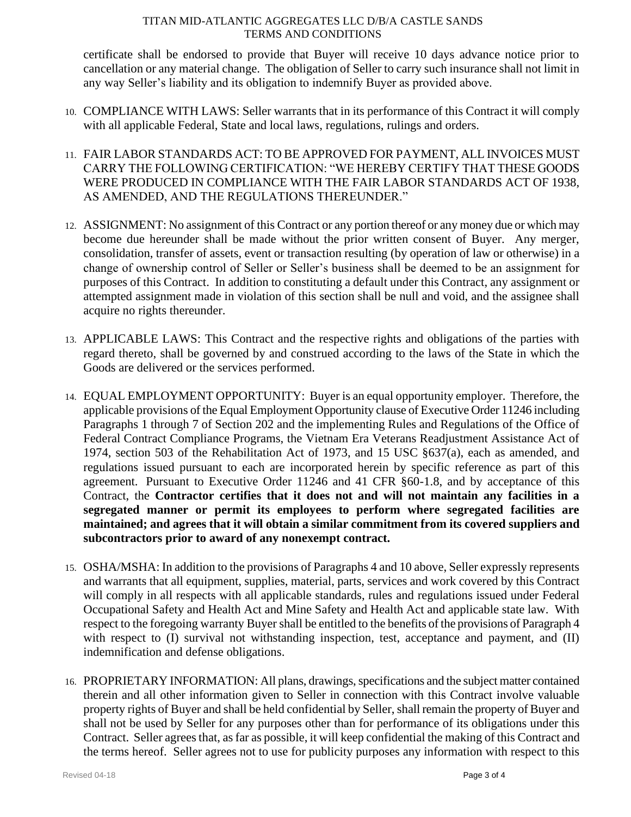certificate shall be endorsed to provide that Buyer will receive 10 days advance notice prior to cancellation or any material change. The obligation of Seller to carry such insurance shall not limit in any way Seller's liability and its obligation to indemnify Buyer as provided above.

- 10. COMPLIANCE WITH LAWS: Seller warrants that in its performance of this Contract it will comply with all applicable Federal, State and local laws, regulations, rulings and orders.
- 11. FAIR LABOR STANDARDS ACT: TO BE APPROVED FOR PAYMENT, ALL INVOICES MUST CARRY THE FOLLOWING CERTIFICATION: "WE HEREBY CERTIFY THAT THESE GOODS WERE PRODUCED IN COMPLIANCE WITH THE FAIR LABOR STANDARDS ACT OF 1938, AS AMENDED, AND THE REGULATIONS THEREUNDER."
- 12. ASSIGNMENT: No assignment of this Contract or any portion thereof or any money due or which may become due hereunder shall be made without the prior written consent of Buyer. Any merger, consolidation, transfer of assets, event or transaction resulting (by operation of law or otherwise) in a change of ownership control of Seller or Seller's business shall be deemed to be an assignment for purposes of this Contract. In addition to constituting a default under this Contract, any assignment or attempted assignment made in violation of this section shall be null and void, and the assignee shall acquire no rights thereunder.
- 13. APPLICABLE LAWS: This Contract and the respective rights and obligations of the parties with regard thereto, shall be governed by and construed according to the laws of the State in which the Goods are delivered or the services performed.
- 14. EQUAL EMPLOYMENT OPPORTUNITY: Buyer is an equal opportunity employer. Therefore, the applicable provisions of the Equal Employment Opportunity clause of Executive Order 11246 including Paragraphs 1 through 7 of Section 202 and the implementing Rules and Regulations of the Office of Federal Contract Compliance Programs, the Vietnam Era Veterans Readjustment Assistance Act of 1974, section 503 of the Rehabilitation Act of 1973, and 15 USC §637(a), each as amended, and regulations issued pursuant to each are incorporated herein by specific reference as part of this agreement. Pursuant to Executive Order 11246 and 41 CFR §60-1.8, and by acceptance of this Contract, the **Contractor certifies that it does not and will not maintain any facilities in a segregated manner or permit its employees to perform where segregated facilities are maintained; and agrees that it will obtain a similar commitment from its covered suppliers and subcontractors prior to award of any nonexempt contract.**
- 15. OSHA/MSHA: In addition to the provisions of Paragraphs 4 and 10 above, Seller expressly represents and warrants that all equipment, supplies, material, parts, services and work covered by this Contract will comply in all respects with all applicable standards, rules and regulations issued under Federal Occupational Safety and Health Act and Mine Safety and Health Act and applicable state law. With respect to the foregoing warranty Buyer shall be entitled to the benefits of the provisions of Paragraph 4 with respect to (I) survival not withstanding inspection, test, acceptance and payment, and (II) indemnification and defense obligations.
- 16. PROPRIETARY INFORMATION: All plans, drawings, specifications and the subject matter contained therein and all other information given to Seller in connection with this Contract involve valuable property rights of Buyer and shall be held confidential by Seller, shall remain the property of Buyer and shall not be used by Seller for any purposes other than for performance of its obligations under this Contract. Seller agrees that, as far as possible, it will keep confidential the making of this Contract and the terms hereof. Seller agrees not to use for publicity purposes any information with respect to this